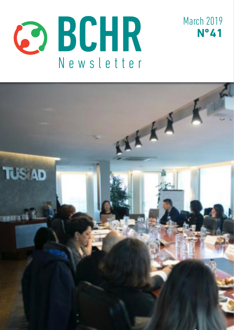



March 2019 **Nº 41**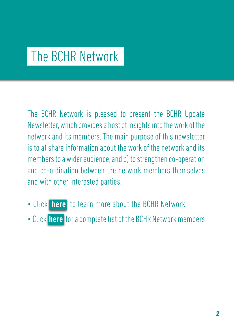# The BCHR Network

The BCHR Network is pleased to present the BCHR Update Newsletter, which provides a host of insights into the work of the network and its members. The main purpose of this newsletter is to a) share information about the work of the network and its members to a wider audience, and b) to strengthen co-operation and co-ordination between the network members themselves and with other interested parties.

- Click [here](http://www.networkbchr.org/) to learn more about the BCHR Network
- Click [here](http://www.networkbchr.org/#!join-the-network/c24vq) for a complete list of the BCHR Network members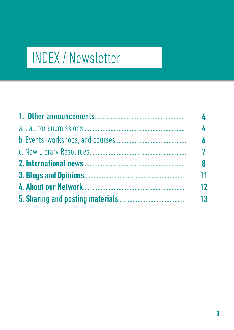# INDEX / Newsletter

| $\overline{\mathbf{A}}$<br>6 |    |
|------------------------------|----|
|                              | 8  |
|                              | 11 |
|                              | 12 |
| 13                           |    |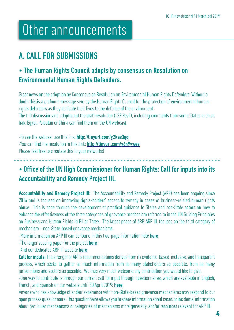# Other announcements

# A. CALL FOR SUBMISSIONS

# • The Human Rights Council adopts by consensus on Resolution on Environmental Human Rights Defenders.

Great news on the adoption by Consensus on Resolution on Environmental Human Rights Defenders. Without a doubt this is a profound message sent by the Human Rights Council for the protection of environmental human rights defenders as they dedicate their lives to the defense of the environment.

The full discussion and adoption of the draft resolution (L22.Rev1), including comments from some States such as Irak, Egypt, Pakistan or China can find them on the UN webcast.

-To see the webcast use this link: http://tinvurl.com/v2kas3qo -You can find the resolution in this link: <http://tinyurl.com/y6n9ywes> Please feel free to circulate this to your networks!

## • Office of the UN High Commissioner for Human Rights: Call for inputs into its Accountability and Remedy Project lll.

**Accountability and Remedy Project III:** The Accountability and Remedy Project (ARP) has been ongoing since 2014 and is focused on improving rights-holders' access to remedy in cases of business-related human rights abuse. This is done through the development of practical guidance to States and non-State actors on how to enhance the effectiveness of the three categories of grievance mechanism referred to in the UN Guiding Principles on Business and Human Rights in Pillar Three. The latest phase of ARP, ARP III, focuses on the third category of mechanism – non-State-based grievance mechanisms.

-More information on ARP III can be found in this two-page information note **[here](http://tinyurl.com/y6g5l3vv)** 

-The larger scoping paper for the project [here](http://tinyurl.com/yy5b5btj)

-And our dedicated ARP III website [here](http://tinyurl.com/y4ctzvg3)

Call for inputs: The strength of ARP's recommendations derives from its evidence-based, inclusive, and transparent process, which seeks to gather as much information from as many stakeholders as possible, from as many jurisdictions and sectors as possible. We thus very much welcome any contribution you would like to give.

-One way to contribute is through our current call for input through questionnaires, which are available in English, French, and Spanish on our website until 30 April 2019: [here](http://tinyurl.com/y5andhnm
)

Anyone who has knowledge of and/or experience with non-State-based grievance mechanisms may respond to our open process questionnaire. This questionnaire allows you to share information about cases or incidents, information about particular mechanisms or categories of mechanisms more generally, and/or resources relevant for ARP III.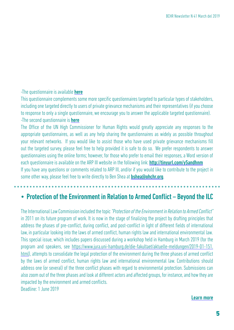#### -The questionnaire is available **[here](http://tinyurl.com/y67k5cfg
)**

This questionnaire complements some more specific questionnaires targeted to particular types of stakeholders, including one targeted directly to users of private grievance mechanisms and their representatives (if you choose to response to only a single questionnaire, we encourage you to answer the applicable targeted questionnaire). -The second questionnaire is **[here](http://tinyurl.com/yxcq3llu
)** 

The Office of the UN High Commissioner for Human Rights would greatly appreciate any responses to the appropriate questionnaires, as well as any help sharing the questionnaires as widely as possible throughout your relevant networks. If you would like to assist those who have used private grievance mechanisms fill out the targeted survey, please feel free to help provided it is safe to do so. We prefer respondents to answer questionnaires using the online forms; however, for those who prefer to email their responses, a Word version of each questionnaire is available on the ARP III website in the following link: http://tinyurl.com/v5andhnm If you have any questions or comments related to ARP III, and/or if you would like to contribute to the project in some other way, please feel free to write directly to Ben Shea at **[bshea@ohchr.org](http://bshea@ohchr.org)**.

### • Protection of the Environment in Relation to Armed Conflict – Beyond the ILC

The International Law Commission included the topic "Protection of the Environment in Relation to Armed Conflict" in 2011 on its future program of work. It is now in the stage of finalizing the project by drafting principles that address the phases of pre-conflict, during conflict, and post-conflict in light of different fields of international law, in particular looking into the laws of armed conflict, human rights law and international environmental law. This special issue, which includes papers discussed during a workshop held in Hamburg in March 2019 (for the program and speakers, see [https://www.jura.uni-hamburg.de/die-fakultaet/aktuelle-meldungen/2019-01-151.](https://www.jura.uni-hamburg.de/die-fakultaet/aktuelle-meldungen/2019-01-151.html) [html](https://www.jura.uni-hamburg.de/die-fakultaet/aktuelle-meldungen/2019-01-151.html)), attempts to consolidate the legal protection of the environment during the three phases of armed conflict by the laws of armed conflict, human rights law and international environmental law. Contributions should address one (or several) of the three conflict phases with regard to environmental protection. Submissions can also zoom out of the three phases and look at different actors and affected groups, for instance, and how they are impacted by the environment and armed conflicts. Deadline: 1 June 2019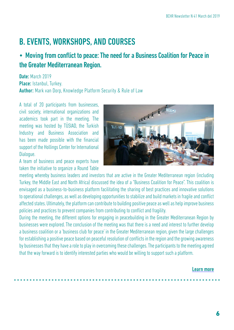# B. EVENTS, WORKSHOPS, AND COURSES

## • Moving from conflict to peace: The need for a Business Coalition for Peace in the Greater Mediterranean Region.

Date: March 2019 Place: Istanbul, Turkey. Author: Mark van Dorp, Knowledge Platform Security & Rule of Law

A total of 20 participants from businesses, civil society, international organizations and academics took part in the meeting. The meeting was hosted by TÜSIAD, the Turkish Industry and Business Association and has been made possible with the financial support of the Hollings Center for International Dialogue.

A team of business and peace experts have taken the initiative to organize a Round Table



meeting whereby business leaders and investors that are active in the Greater Mediterranean region (including Turkey, the Middle East and North Africa) discussed the idea of a "Business Coalition for Peace". This coalition is envisaged as a business-to-business platform facilitating the sharing of best practices and innovative solutions to operational challenges, as well as developing opportunities to stabilize and build markets in fragile and conflict affected states. Ultimately, the platform can contribute to building positive peace as well as help improve business policies and practices to prevent companies from contributing to conflict and fragility.

During the meeting, the different options for engaging in peacebuilding in the Greater Mediterranean Region by businesses were explored. The conclusion of the meeting was that there is a need and interest to further develop a business coalition or a 'business club for peace' in the Greater Mediterranean region, given the large challenges for establishing a positive peace based on peaceful resolution of conflicts in the region and the growing awareness by businesses that they have a role to play in overcoming these challenges. The participants to the meeting agreed that the way forward is to identify interested parties who would be willing to support such a platform.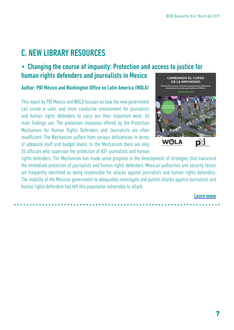# C. NEW LIBRARY RESOURCES

### • Changing the course of impunity: Protection and access to justice for human rights defenders and journalists in Mexico

#### Author: PBI México and Washington Office on Latin America (WOLA)

This report by PBI Mexico and WOLA focuses on how the new government can create a safer and more conducive environment for journalists and human rights defenders to carry out their important work. Its main findings are: The protection measures offered by the Protection Mechanism for Human Rights Defenders and Journalists are often insufficient. The Mechanism suffers from serious deficiencies in terms of adequate staff and budget levels. In the Mechanism there are only 35 officials who supervise the protection of 831 journalists and human



rights defenders. The Mechanism has made some progress in the development of strategies that transcend the immediate protection of journalists and human rights defenders. Mexican authorities and security forces are frequently identified as being responsible for attacks against journalists and human rights defenders. The inability of the Mexican government to adequately investigate and punish attacks against journalists and human rights defenders has left this population vulnerable to attack.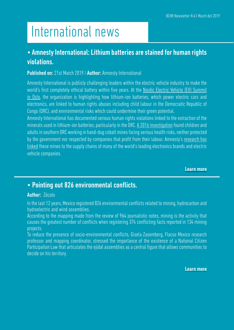# International news

### • Amnesty International: Lithium batteries are stained for human rights violations.

#### Published on: 21st March 2019 / Author: Amnesty International

Amnesty International is publicly challenging leaders within the electric vehicle industry to make the world's first completely ethical battery within five years. At the [Nordic Electric Vehicle \(EV\) Summit](https://nordicevs.no/) [in Oslo,](https://nordicevs.no/) the organization is highlighting how lithium-ion batteries, which power electric cars and electronics, are linked to human rights abuses including child labour in the Democratic Republic of Congo (DRC), and environmental risks which could undermine their green potential.

Amnesty International has documented serious human rights violations linked to the extraction of the minerals used in lithium-ion batteries, particularly in the DRC. [A 2016 investigation](https://www.amnesty.org/en/documents/afr62/3183/2016/en/) found children and adults in southern DRC working in hand-dug cobalt mines facing serious health risks, neither protected by the government nor respected by companies that profit from their labour. Amnesty's [research has](https://www.amnesty.org/en/latest/news/2017/11/industry-giants-fail-to-tackle-child-labour-allegations-in-cobalt-battery-supply-chains/) [linked](https://www.amnesty.org/en/latest/news/2017/11/industry-giants-fail-to-tackle-child-labour-allegations-in-cobalt-battery-supply-chains/) these mines to the supply chains of many of the world's leading electronics brands and electric vehicle companies.

[Learn more](http://tinyurl.com/y5lhwcwq)

### • Pointing out 826 environmental conflicts.

#### Author: Zócalo

In the last 12 years, Mexico registered 826 environmental conflicts related to mining, hydrocarbon and hydroelectric and wind assemblies.

According to the mapping made from the review of 964 journalistic notes, mining is the activity that causes the greatest number of conflicts when registering 374 conflicting facts reported in 134 mining projects.

To reduce the presence of socio-environmental conflicts, Gisela Zasemberg, Flacso Mexico research professor and mapping coordinator, stressed the importance of the existence of a National Citizen Participation Law that articulates the ejidal assemblies as a central figure that allows communities to decide on his territory.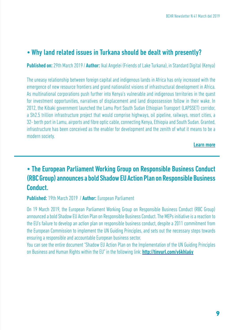### • Why land related issues in Turkana should be dealt with presently?

Published on: 29th March 2019 / Author: Ikal Angelei (Friends of Lake Turkana), in Standard Digital (Kenya)

The uneasy relationship between foreign capital and indigenous lands in Africa has only increased with the emergence of new resource frontiers and grand nationalist visions of infrastructural development in Africa. As multinational corporations push further into Kenya's vulnerable and indigenous territories in the quest for investment opportunities, narratives of displacement and land dispossession follow in their wake. In 2012, the Kibaki government launched the Lamu Port South Sudan Ethiopian Transport (LAPSSET) corridor, a Sh2.5 trillion infrastructure project that would comprise highways, oil pipeline, railways, resort cities, a 32- berth port in Lamu, airports and fibre optic cable, connecting Kenya, Ethiopia and South Sudan. Granted, infrastructure has been conceived as the enabler for development and the zenith of what it means to be a modern society.

[Learn more](http://tinyurl.com/y5dzlpcj)

# • The European Parliament Working Group on Responsible Business Conduct (RBC Group) announces a bold Shadow EU Action Plan on Responsible Business Conduct.

Published: 19th March 2019 / Author: European Parliament

On 19 March 2019, the European Parliament Working Group on Responsible Business Conduct (RBC Group) announced a bold Shadow EU Action Plan on Responsible Business Conduct. The MEPs initiative is a reaction to the EU's failure to develop an action plan on responsible business conduct, despite a 2011 commitment from the European Commission to implement the UN Guiding Principles, and sets out the necessary steps towards ensuring a responsible and accountable European business sector.

You can see the entire document "Shadow EU Action Plan on the Implementation of the UN Guiding Principles on Business and Human Rights within the EU" in the following link: http://tinyurl.com/v6khla6y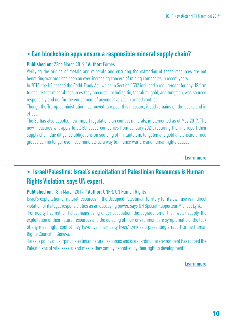### [• Can blockchain apps ensure a responsible mineral supply chain?](http://tinyurl.com/y6sk8dqc)

#### Published on: [22nd March 2019 /](http://tinyurl.com/y6sk8dqc) Author: Forbes

[Verifying the origins of metals and minerals and ensuring the extraction of these resources are not](http://tinyurl.com/y6sk8dqc) [benefiting warlords has been an ever-increasing concern of mining companies in recent years.](http://tinyurl.com/y6sk8dqc)

[In 2010, the US passed the Dodd-Frank Act, which in Section 1502 included a requirement for any US firm](http://tinyurl.com/y6sk8dqc) [to ensure that mineral resources they procured, including tin, tantalum, gold, and tungsten, was sourced](http://tinyurl.com/y6sk8dqc) [responsibly and not for the enrichment of anyone involved in armed conflict.](http://tinyurl.com/y6sk8dqc)

[Though the Trump administration has moved to repeal this measure, it still remains on the books and in](http://tinyurl.com/y6sk8dqc) [effect.](http://tinyurl.com/y6sk8dqc)

[The EU has also adopted new import regulations on conflict minerals, implemented as of May 2017. The](http://tinyurl.com/y6sk8dqc) [new measures will apply to all EU-based companies from January 2021, requiring them to report their](http://tinyurl.com/y6sk8dqc) [supply chain due diligence obligations on sourcing of tin, tantalum, tungsten and gold and ensure armed](http://tinyurl.com/y6sk8dqc) [groups can no longer use these minerals as a way to finance warfare and human rights abuses.](http://tinyurl.com/y6sk8dqc)

#### [Learn more](http://tinyurl.com/y6sk8dqc)

### [• Israel/Palestine: Israel's exploitation of Palestinian Resources is Human](http://tinyurl.com/y6sk8dqc)  [Rights Violation, says UN expert.](http://tinyurl.com/y6sk8dqc)

#### Published on: 18th March 2019. / Author: [UNHR, UN Human Rights](http://tinyurl.com/y6sk8dqc)

[Israel's exploitation of natural resources in the Occupied Palestinian Territory for its own use is in direct](http://tinyurl.com/y6sk8dqc) [violation of its legal responsibilities as an occupying power, says UN Special Rapporteur Michael Lynk.](http://tinyurl.com/y6sk8dqc) ["For nearly five million Palestinians living under occupation, the degradation of their water supply, the](http://tinyurl.com/y6sk8dqc) [exploitation of their natural resources and the defacing of their environment, are symptomatic of the lack](http://tinyurl.com/y6sk8dqc) [of any meaningful control they have over their daily lives," Lynk said presenting a report to the Human](http://tinyurl.com/y6sk8dqc)

### [Rights Council in Geneva.](http://tinyurl.com/y6sk8dqc)

["Israel's policy of usurping Palestinian natural resources and disregarding the environment has robbed the](http://tinyurl.com/y6sk8dqc) [Palestinians of vital assets, and means they simply cannot enjoy their right to development."](http://tinyurl.com/y6sk8dqc)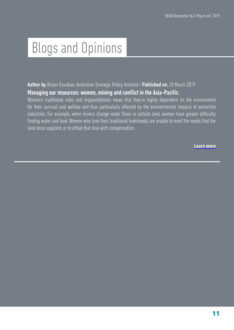# Blogs and Opinions

Author by Alison Davidian, Australian Strategic Policy Institute / Published on: 20 March 2019 Managing our resources: women, mining and conflict in the Asia-Pacific.

Women's traditional roles and responsibilities mean that they're highly dependent on the environment for their survival and welfare and thus particularly affected by the environmental impacts of extractive industries. For example, when miners change water flows or pollute land, women have greater difficulty finding water and food. Women who lose their traditional livelihoods are unable to meet the needs that the land once supplied, or to offset that loss with compensation.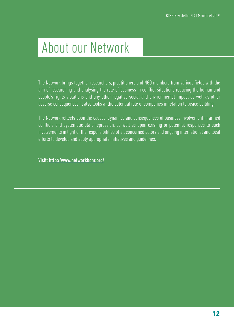# About our Network

The Network brings together researchers, practitioners and NGO members from various fields with the aim of researching and analysing the role of business in conflict situations reducing the human and people's rights violations and any other negative social and environmental impact as well as other adverse consequences. It also looks at the potential role of companies in relation to peace building.

The Network reflects upon the causes, dynamics and consequences of business involvement in armed conflicts and systematic state repression, as well as upon existing or potential responses to such involvements in light of the responsibilities of all concerned actors and ongoing international and local efforts to develop and apply appropriate initiatives and guidelines.

Visit: <http://www.networkbchr.org/>